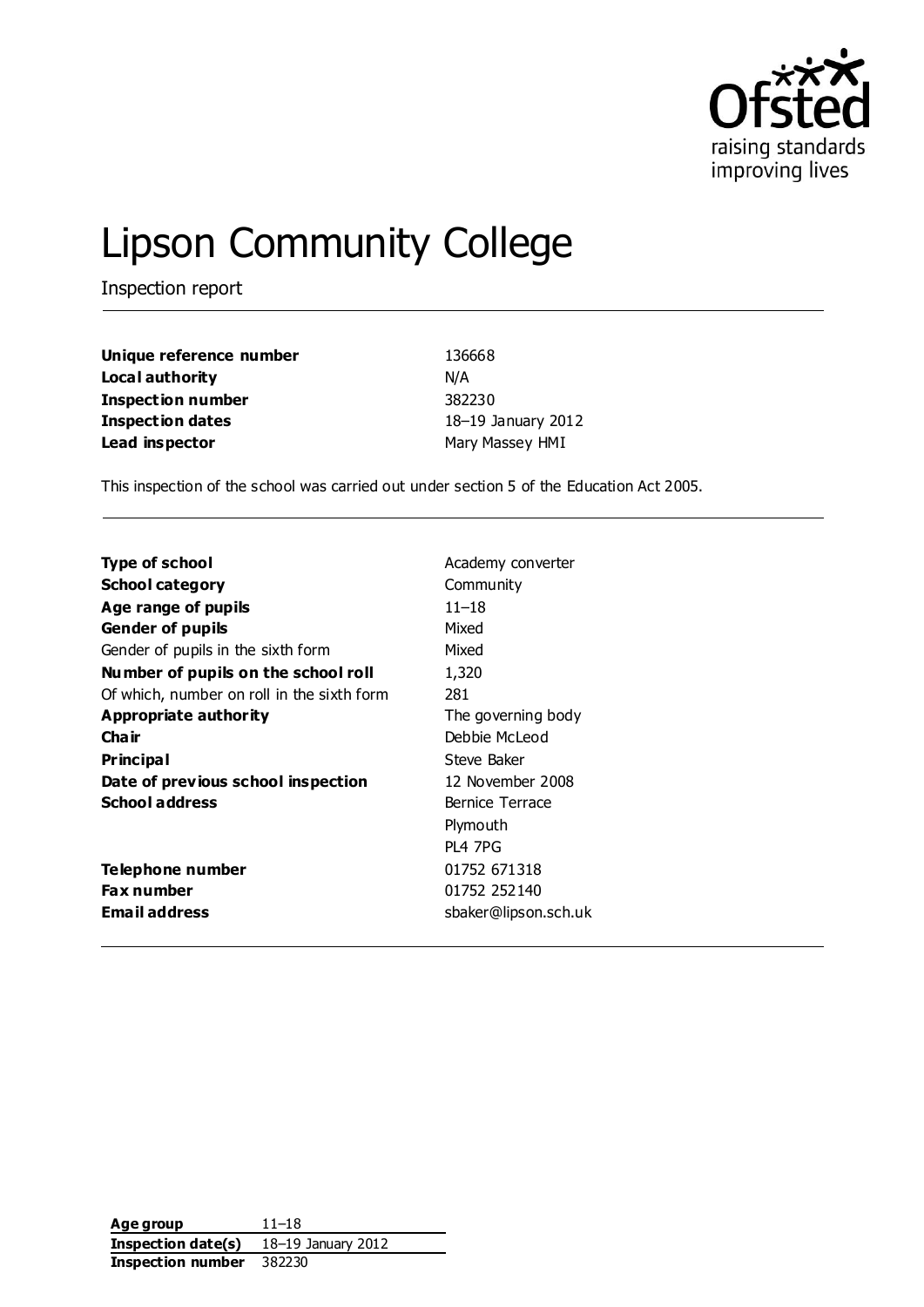

# Lipson Community College

Inspection report

| Unique reference number | 136668             |
|-------------------------|--------------------|
| Local authority         | N/A                |
| Inspection number       | 382230             |
| Inspection dates        | 18-19 January 2012 |
| Lead inspector          | Mary Massey HMI    |

This inspection of the school was carried out under section 5 of the Education Act 2005.

| Type of school                             | Academy converter    |
|--------------------------------------------|----------------------|
| <b>School category</b>                     | Community            |
| Age range of pupils                        | $11 - 18$            |
| <b>Gender of pupils</b>                    | Mixed                |
| Gender of pupils in the sixth form         | Mixed                |
| Number of pupils on the school roll        | 1,320                |
| Of which, number on roll in the sixth form | 281                  |
| Appropriate authority                      | The governing body   |
| Cha ir                                     | Debbie McLeod        |
| Pr incipa l                                | Steve Baker          |
| Date of previous school inspection         | 12 November 2008     |
| <b>School address</b>                      | Bernice Terrace      |
|                                            | Plymouth             |
|                                            | <b>PL4 7PG</b>       |
| Telephone number                           | 01752 671318         |
| Fax number                                 | 01752 252140         |
| <b>Email address</b>                       | sbaker@lipson.sch.uk |

**Age group** 11–18 **Inspection date(s)** 18–19 January 2012 **Inspection number** 382230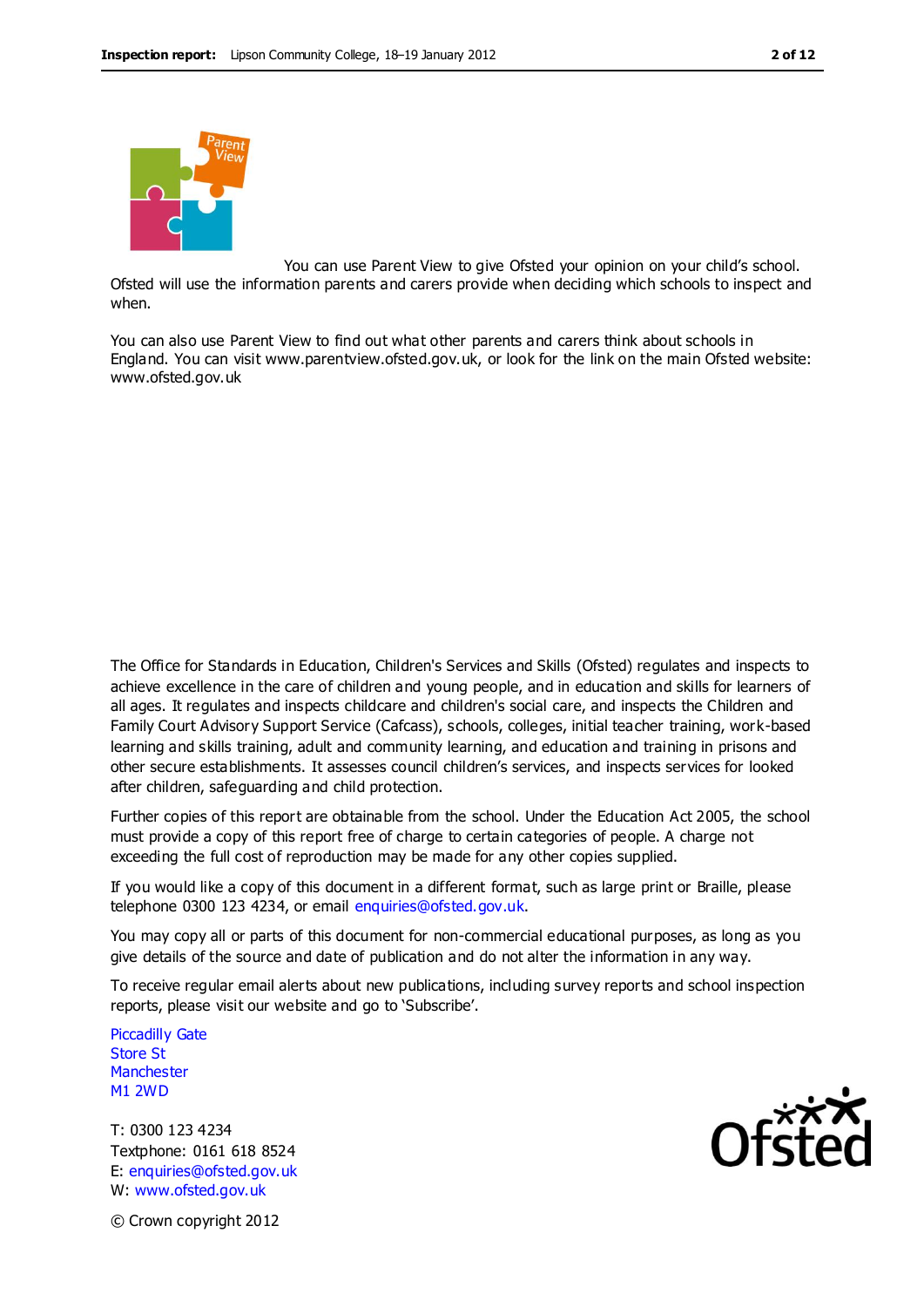



when.

You can use Parent View to give Ofsted your opinion on your child's school. Ofsted will use the information parents and carers provide when deciding which schools to inspect and

You can also use Parent View to find out what other parents and carers think about schools in

England. You can visit www.parentview.ofsted.gov.uk, or look for the link on the main Ofsted website: www.ofsted.gov.uk

The Office for Standards in Education, Children's Services and Skills (Ofsted) regulates and inspects to achieve excellence in the care of children and young people, and in education and skills for learners of all ages. It regulates and inspects childcare and children's social care, and inspects the Children and Family Court Advisory Support Service (Cafcass), schools, colleges, initial teacher training, work-based learning and skills training, adult and community learning, and education and training in prisons and other secure establishments. It assesses council children's services, and inspects services for looked after children, safeguarding and child protection.

Further copies of this report are obtainable from the school. Under the Education Act 2005, the school must provide a copy of this report free of charge to certain categories of people. A charge not exceeding the full cost of reproduction may be made for any other copies supplied.

If you would like a copy of this document in a different format, such as large print or Braille, please telephone 0300 123 4234, or email enquiries@ofsted.gov.uk.

You may copy all or parts of this document for non-commercial educational purposes, as long as you give details of the source and date of publication and do not alter the information in any way.

To receive regular email alerts about new publications, including survey reports and school inspection reports, please visit our website and go to 'Subscribe'.

Piccadilly Gate Store St **Manchester** M1 2WD

T: 0300 123 4234 Textphone: 0161 618 8524 E: enquiries@ofsted.gov.uk W: www.ofsted.gov.uk



© Crown copyright 2012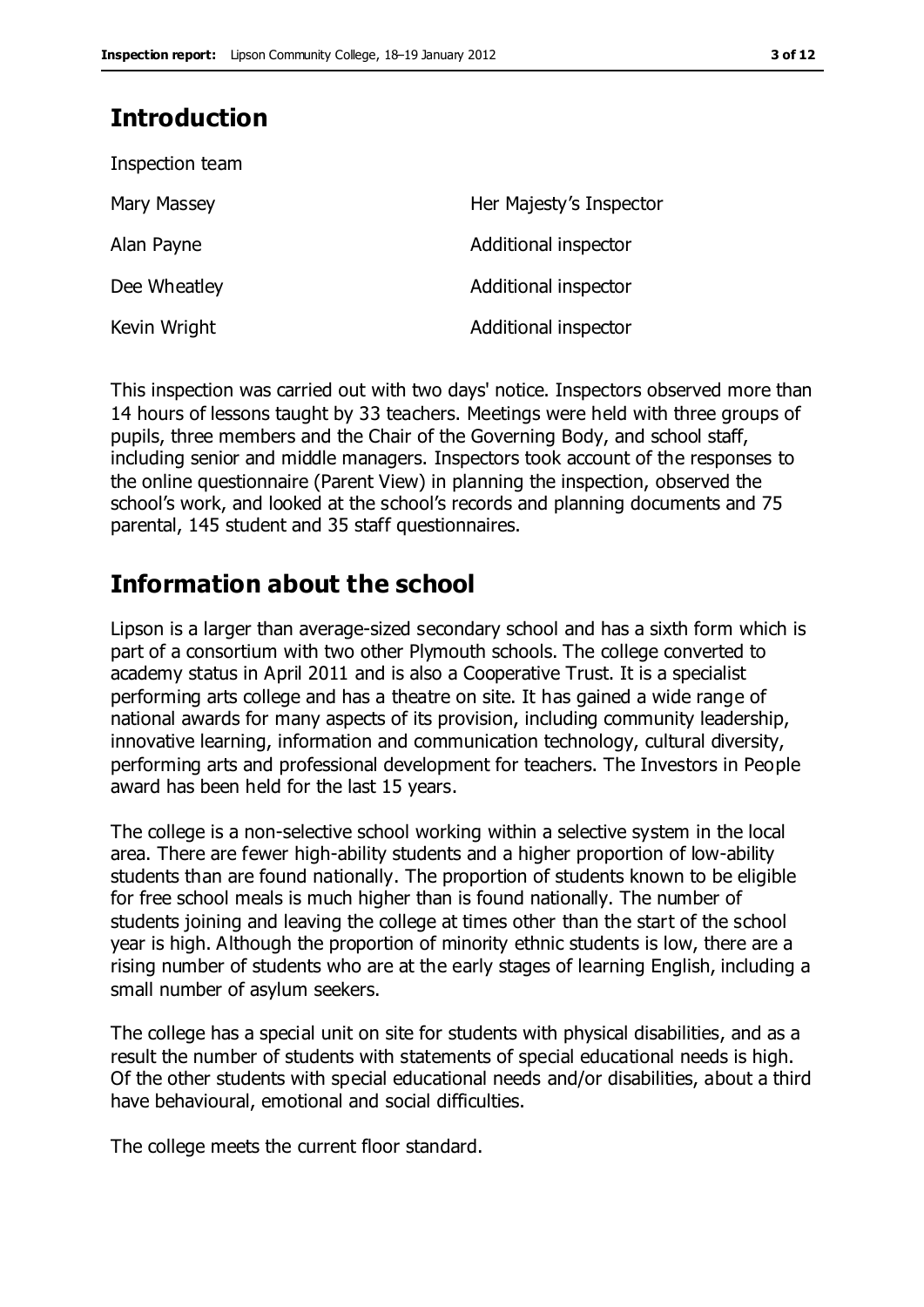# **Introduction**

| Inspection team |                         |
|-----------------|-------------------------|
| Mary Massey     | Her Majesty's Inspector |
| Alan Payne      | Additional inspector    |
| Dee Wheatley    | Additional inspector    |
| Kevin Wright    | Additional inspector    |

This inspection was carried out with two days' notice. Inspectors observed more than 14 hours of lessons taught by 33 teachers. Meetings were held with three groups of pupils, three members and the Chair of the Governing Body, and school staff, including senior and middle managers. Inspectors took account of the responses to the online questionnaire (Parent View) in planning the inspection, observed the school's work, and looked at the school's records and planning documents and 75 parental, 145 student and 35 staff questionnaires.

# **Information about the school**

Lipson is a larger than average-sized secondary school and has a sixth form which is part of a consortium with two other Plymouth schools. The college converted to academy status in April 2011 and is also a Cooperative Trust. It is a specialist performing arts college and has a theatre on site. It has gained a wide range of national awards for many aspects of its provision, including community leadership, innovative learning, information and communication technology, cultural diversity, performing arts and professional development for teachers. The Investors in People award has been held for the last 15 years.

The college is a non-selective school working within a selective system in the local area. There are fewer high-ability students and a higher proportion of low-ability students than are found nationally. The proportion of students known to be eligible for free school meals is much higher than is found nationally. The number of students joining and leaving the college at times other than the start of the school year is high. Although the proportion of minority ethnic students is low, there are a rising number of students who are at the early stages of learning English, including a small number of asylum seekers.

The college has a special unit on site for students with physical disabilities, and as a result the number of students with statements of special educational needs is high. Of the other students with special educational needs and/or disabilities, about a third have behavioural, emotional and social difficulties.

The college meets the current floor standard.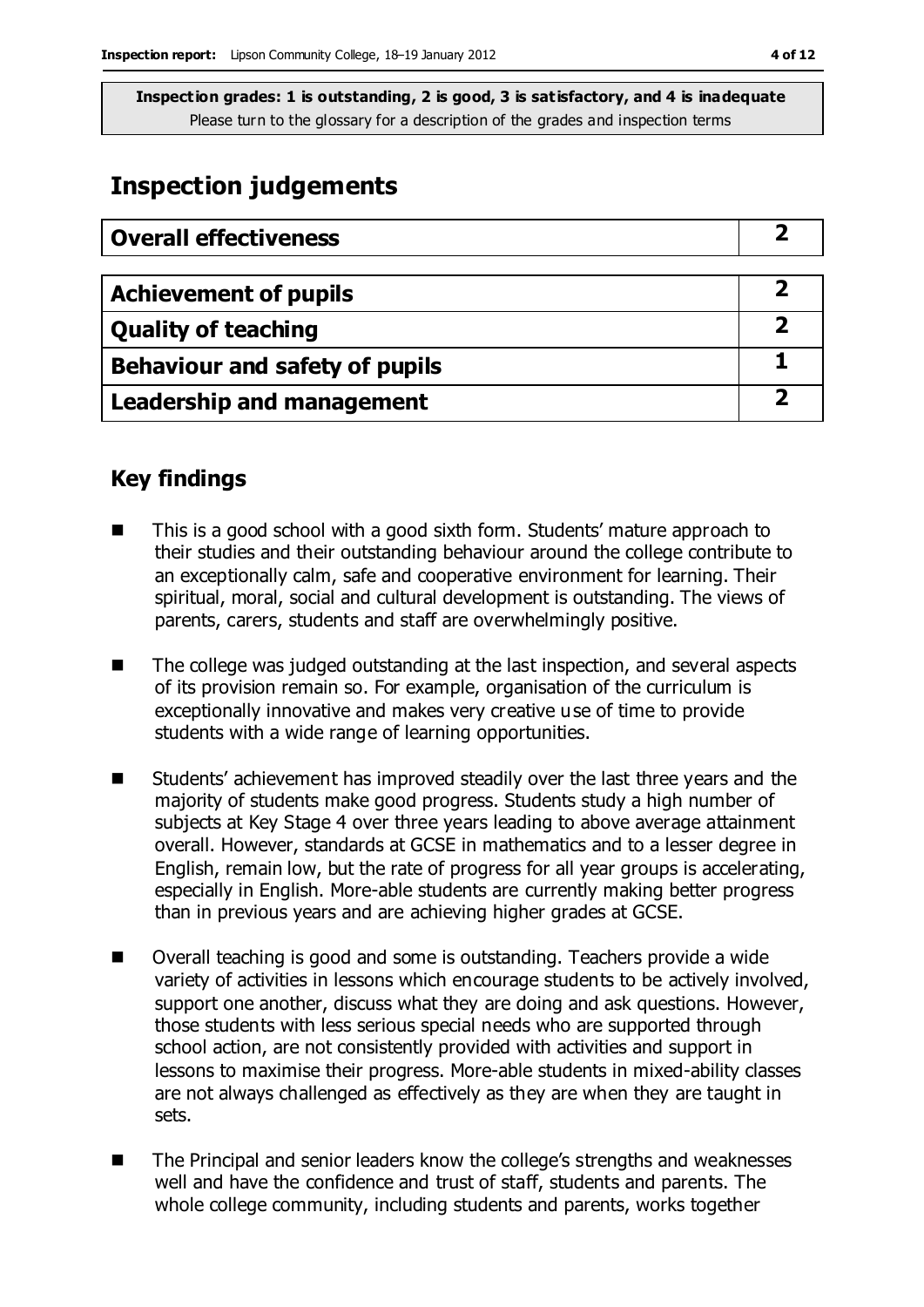# **Inspection judgements**

| <b>Overall effectiveness</b>     |  |
|----------------------------------|--|
|                                  |  |
| <b>Achievement of pupils</b>     |  |
| <b>Quality of teaching</b>       |  |
| Behaviour and safety of pupils   |  |
| <b>Leadership and management</b> |  |

# **Key findings**

- This is a good school with a good sixth form. Students' mature approach to their studies and their outstanding behaviour around the college contribute to an exceptionally calm, safe and cooperative environment for learning. Their spiritual, moral, social and cultural development is outstanding. The views of parents, carers, students and staff are overwhelmingly positive.
- The college was judged outstanding at the last inspection, and several aspects of its provision remain so. For example, organisation of the curriculum is exceptionally innovative and makes very creative use of time to provide students with a wide range of learning opportunities.
- Students' achievement has improved steadily over the last three years and the majority of students make good progress. Students study a high number of subjects at Key Stage 4 over three years leading to above average attainment overall. However, standards at GCSE in mathematics and to a lesser degree in English, remain low, but the rate of progress for all year groups is accelerating, especially in English. More-able students are currently making better progress than in previous years and are achieving higher grades at GCSE.
- Overall teaching is good and some is outstanding. Teachers provide a wide variety of activities in lessons which encourage students to be actively involved, support one another, discuss what they are doing and ask questions. However, those students with less serious special needs who are supported through school action, are not consistently provided with activities and support in lessons to maximise their progress. More-able students in mixed-ability classes are not always challenged as effectively as they are when they are taught in sets.
- The Principal and senior leaders know the college's strengths and weaknesses well and have the confidence and trust of staff, students and parents. The whole college community, including students and parents, works together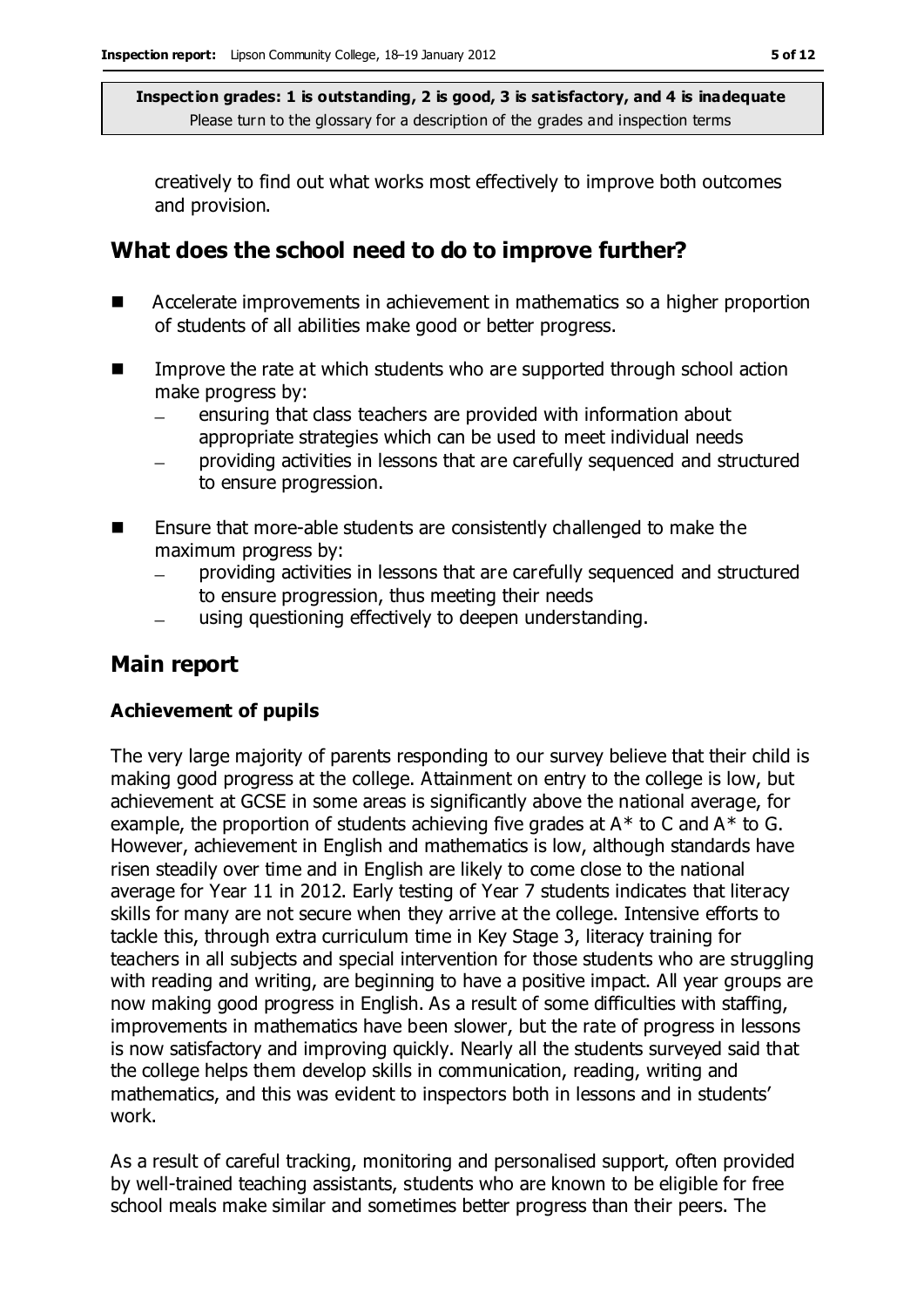creatively to find out what works most effectively to improve both outcomes and provision.

# **What does the school need to do to improve further?**

- Accelerate improvements in achievement in mathematics so a higher proportion of students of all abilities make good or better progress.
- Improve the rate at which students who are supported through school action make progress by:
	- ensuring that class teachers are provided with information about appropriate strategies which can be used to meet individual needs
	- providing activities in lessons that are carefully sequenced and structured to ensure progression.
- Ensure that more-able students are consistently challenged to make the maximum progress by:
	- providing activities in lessons that are carefully sequenced and structured to ensure progression, thus meeting their needs
	- using questioning effectively to deepen understanding.

# **Main report**

### **Achievement of pupils**

The very large majority of parents responding to our survey believe that their child is making good progress at the college. Attainment on entry to the college is low, but achievement at GCSE in some areas is significantly above the national average, for example, the proportion of students achieving five grades at  $A^*$  to C and  $A^*$  to G. However, achievement in English and mathematics is low, although standards have risen steadily over time and in English are likely to come close to the national average for Year 11 in 2012. Early testing of Year 7 students indicates that literacy skills for many are not secure when they arrive at the college. Intensive efforts to tackle this, through extra curriculum time in Key Stage 3, literacy training for teachers in all subjects and special intervention for those students who are struggling with reading and writing, are beginning to have a positive impact. All year groups are now making good progress in English. As a result of some difficulties with staffing, improvements in mathematics have been slower, but the rate of progress in lessons is now satisfactory and improving quickly. Nearly all the students surveyed said that the college helps them develop skills in communication, reading, writing and mathematics, and this was evident to inspectors both in lessons and in students' work.

As a result of careful tracking, monitoring and personalised support, often provided by well-trained teaching assistants, students who are known to be eligible for free school meals make similar and sometimes better progress than their peers. The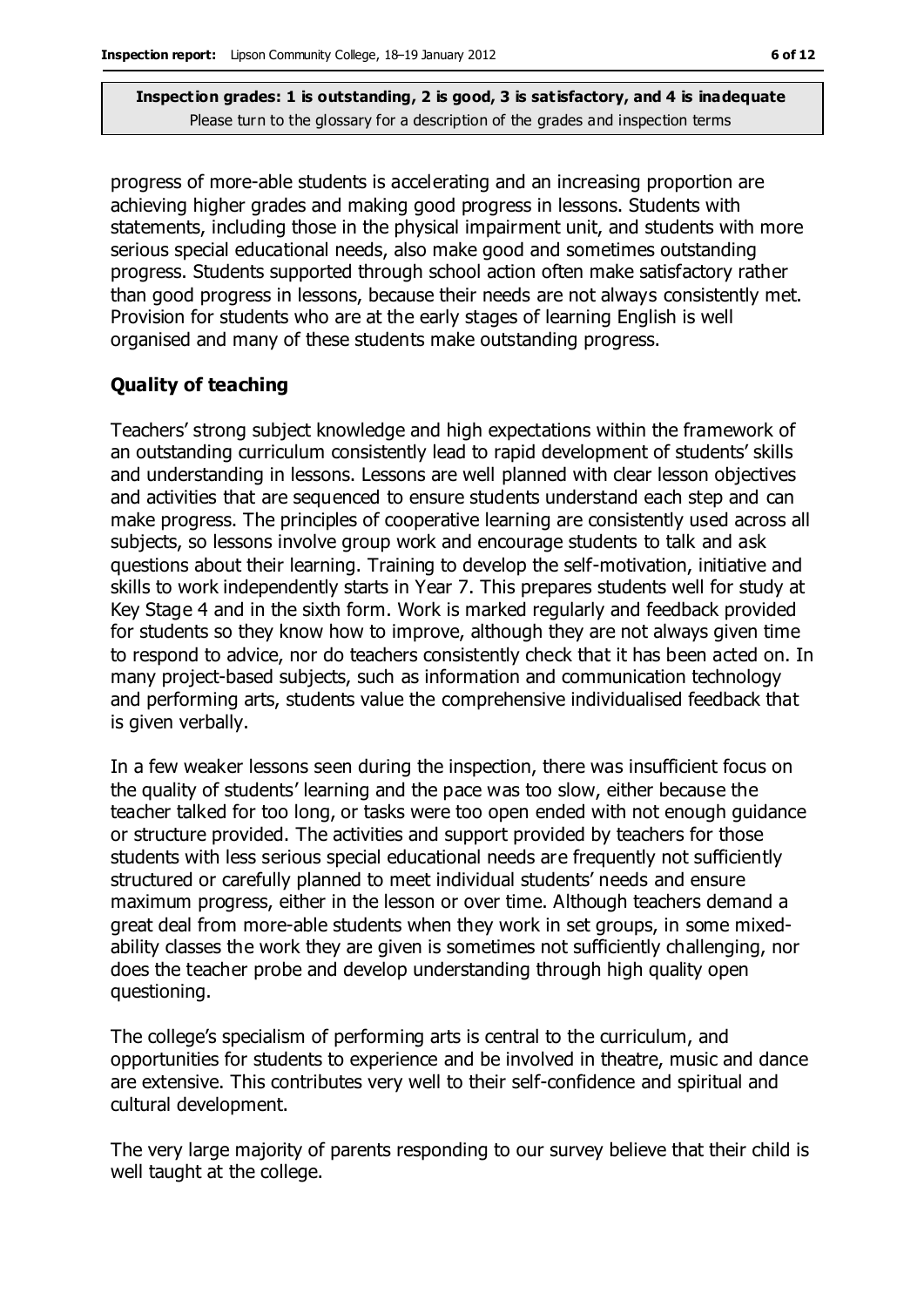progress of more-able students is accelerating and an increasing proportion are achieving higher grades and making good progress in lessons. Students with statements, including those in the physical impairment unit, and students with more serious special educational needs, also make good and sometimes outstanding progress. Students supported through school action often make satisfactory rather than good progress in lessons, because their needs are not always consistently met. Provision for students who are at the early stages of learning English is well organised and many of these students make outstanding progress.

### **Quality of teaching**

Teachers' strong subject knowledge and high expectations within the framework of an outstanding curriculum consistently lead to rapid development of students' skills and understanding in lessons. Lessons are well planned with clear lesson objectives and activities that are sequenced to ensure students understand each step and can make progress. The principles of cooperative learning are consistently used across all subjects, so lessons involve group work and encourage students to talk and ask questions about their learning. Training to develop the self-motivation, initiative and skills to work independently starts in Year 7. This prepares students well for study at Key Stage 4 and in the sixth form. Work is marked regularly and feedback provided for students so they know how to improve, although they are not always given time to respond to advice, nor do teachers consistently check that it has been acted on. In many project-based subjects, such as information and communication technology and performing arts, students value the comprehensive individualised feedback that is given verbally.

In a few weaker lessons seen during the inspection, there was insufficient focus on the quality of students' learning and the pace was too slow, either because the teacher talked for too long, or tasks were too open ended with not enough guidance or structure provided. The activities and support provided by teachers for those students with less serious special educational needs are frequently not sufficiently structured or carefully planned to meet individual students' needs and ensure maximum progress, either in the lesson or over time. Although teachers demand a great deal from more-able students when they work in set groups, in some mixedability classes the work they are given is sometimes not sufficiently challenging, nor does the teacher probe and develop understanding through high quality open questioning.

The college's specialism of performing arts is central to the curriculum, and opportunities for students to experience and be involved in theatre, music and dance are extensive. This contributes very well to their self-confidence and spiritual and cultural development.

The very large majority of parents responding to our survey believe that their child is well taught at the college.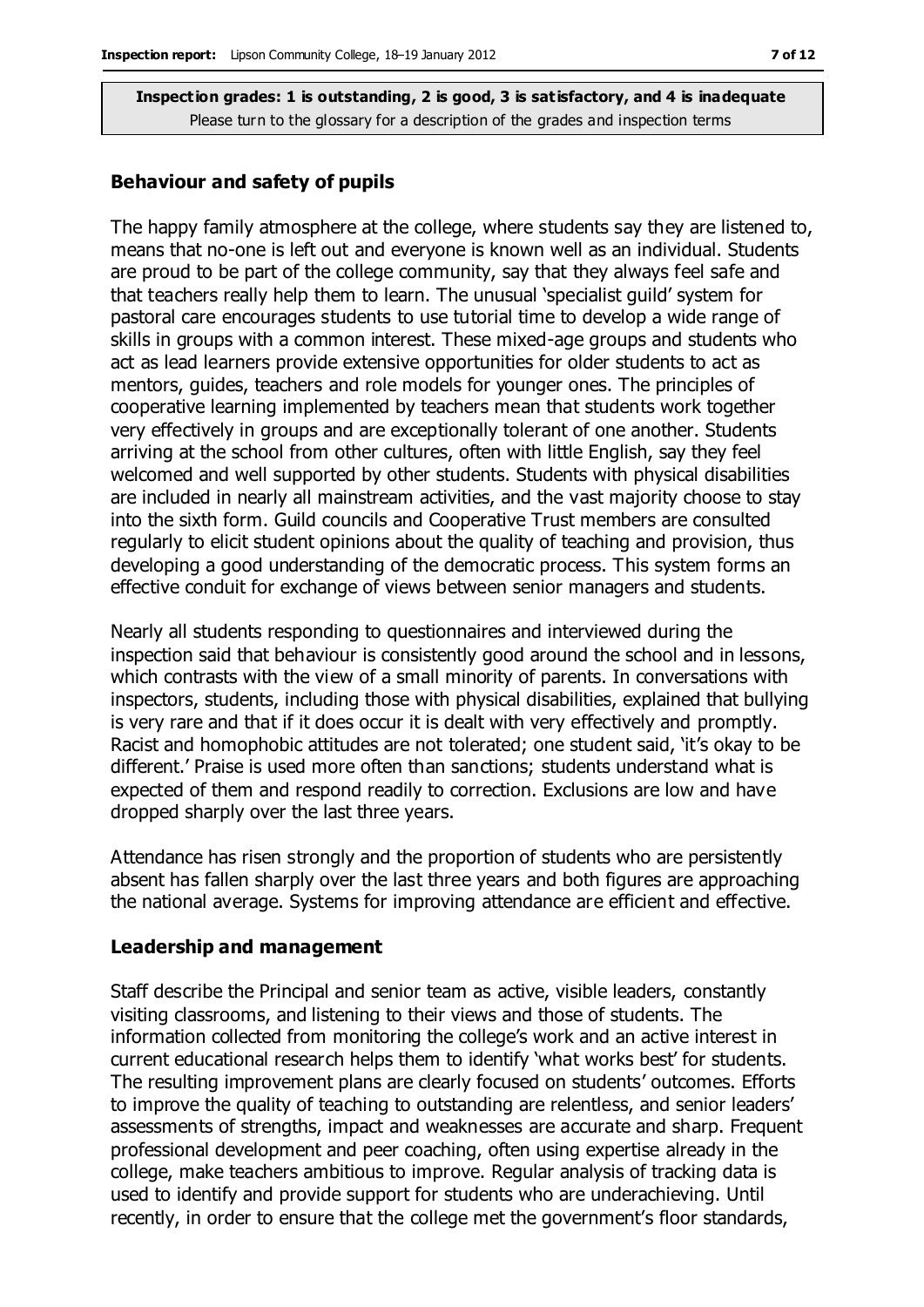#### **Behaviour and safety of pupils**

The happy family atmosphere at the college, where students say they are listened to, means that no-one is left out and everyone is known well as an individual. Students are proud to be part of the college community, say that they always feel safe and that teachers really help them to learn. The unusual 'specialist guild' system for pastoral care encourages students to use tutorial time to develop a wide range of skills in groups with a common interest. These mixed-age groups and students who act as lead learners provide extensive opportunities for older students to act as mentors, guides, teachers and role models for younger ones. The principles of cooperative learning implemented by teachers mean that students work together very effectively in groups and are exceptionally tolerant of one another. Students arriving at the school from other cultures, often with little English, say they feel welcomed and well supported by other students. Students with physical disabilities are included in nearly all mainstream activities, and the vast majority choose to stay into the sixth form. Guild councils and Cooperative Trust members are consulted regularly to elicit student opinions about the quality of teaching and provision, thus developing a good understanding of the democratic process. This system forms an effective conduit for exchange of views between senior managers and students.

Nearly all students responding to questionnaires and interviewed during the inspection said that behaviour is consistently good around the school and in lessons, which contrasts with the view of a small minority of parents. In conversations with inspectors, students, including those with physical disabilities, explained that bullying is very rare and that if it does occur it is dealt with very effectively and promptly. Racist and homophobic attitudes are not tolerated; one student said, 'it's okay to be different.' Praise is used more often than sanctions; students understand what is expected of them and respond readily to correction. Exclusions are low and have dropped sharply over the last three years.

Attendance has risen strongly and the proportion of students who are persistently absent has fallen sharply over the last three years and both figures are approaching the national average. Systems for improving attendance are efficient and effective.

#### **Leadership and management**

Staff describe the Principal and senior team as active, visible leaders, constantly visiting classrooms, and listening to their views and those of students. The information collected from monitoring the college's work and an active interest in current educational research helps them to identify 'what works best' for students. The resulting improvement plans are clearly focused on students' outcomes. Efforts to improve the quality of teaching to outstanding are relentless, and senior leaders' assessments of strengths, impact and weaknesses are accurate and sharp. Frequent professional development and peer coaching, often using expertise already in the college, make teachers ambitious to improve. Regular analysis of tracking data is used to identify and provide support for students who are underachieving. Until recently, in order to ensure that the college met the government's floor standards,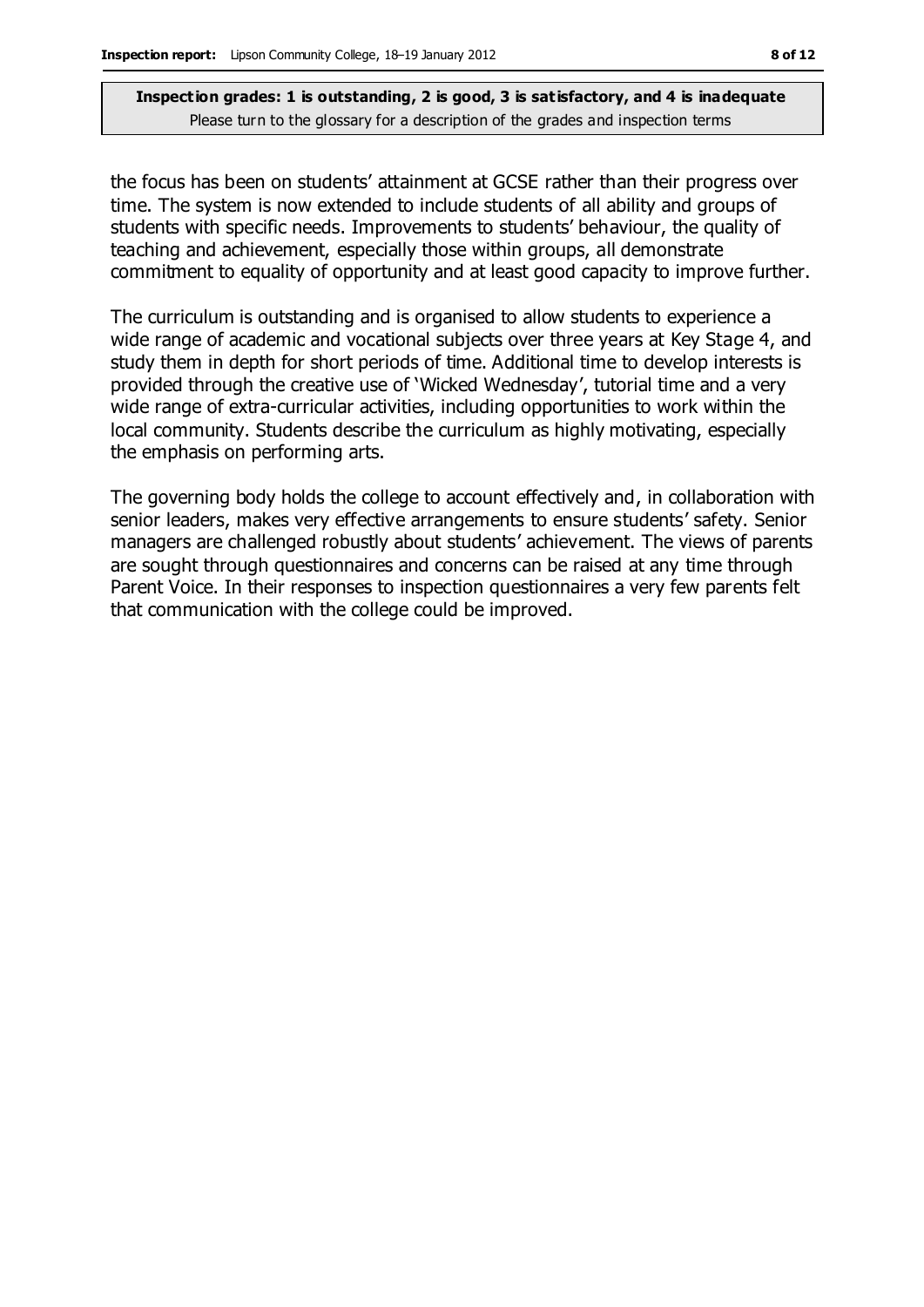the focus has been on students' attainment at GCSE rather than their progress over time. The system is now extended to include students of all ability and groups of students with specific needs. Improvements to students' behaviour, the quality of teaching and achievement, especially those within groups, all demonstrate commitment to equality of opportunity and at least good capacity to improve further.

The curriculum is outstanding and is organised to allow students to experience a wide range of academic and vocational subjects over three years at Key Stage 4, and study them in depth for short periods of time. Additional time to develop interests is provided through the creative use of 'Wicked Wednesday', tutorial time and a very wide range of extra-curricular activities, including opportunities to work within the local community. Students describe the curriculum as highly motivating, especially the emphasis on performing arts.

The governing body holds the college to account effectively and, in collaboration with senior leaders, makes very effective arrangements to ensure students' safety. Senior managers are challenged robustly about students' achievement. The views of parents are sought through questionnaires and concerns can be raised at any time through Parent Voice. In their responses to inspection questionnaires a very few parents felt that communication with the college could be improved.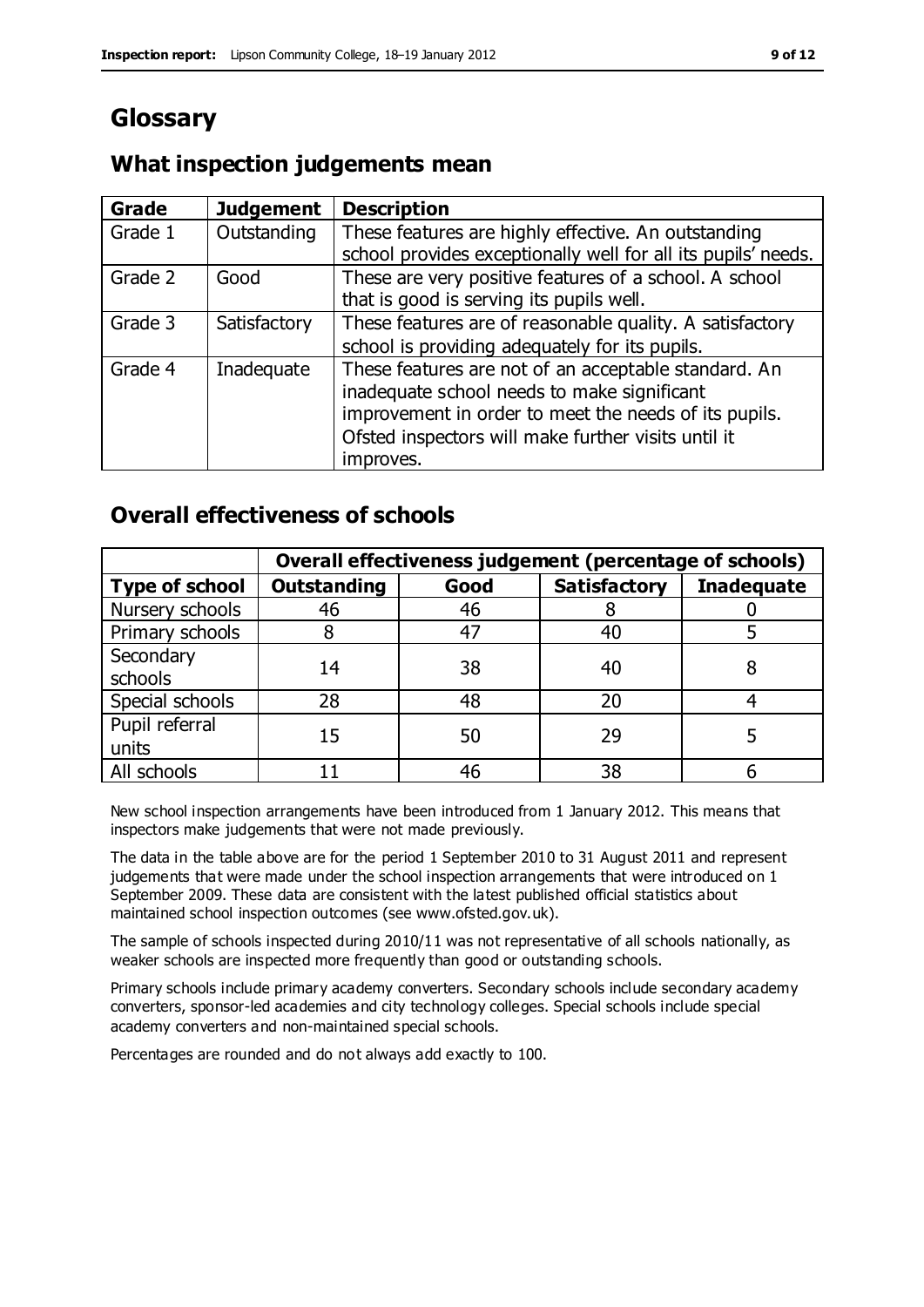# **Glossary**

# **What inspection judgements mean**

| Grade   | <b>Judgement</b> | <b>Description</b>                                            |
|---------|------------------|---------------------------------------------------------------|
| Grade 1 | Outstanding      | These features are highly effective. An outstanding           |
|         |                  | school provides exceptionally well for all its pupils' needs. |
| Grade 2 | Good             | These are very positive features of a school. A school        |
|         |                  | that is good is serving its pupils well.                      |
| Grade 3 | Satisfactory     | These features are of reasonable quality. A satisfactory      |
|         |                  | school is providing adequately for its pupils.                |
| Grade 4 | Inadequate       | These features are not of an acceptable standard. An          |
|         |                  | inadequate school needs to make significant                   |
|         |                  | improvement in order to meet the needs of its pupils.         |
|         |                  | Ofsted inspectors will make further visits until it           |
|         |                  | improves.                                                     |

# **Overall effectiveness of schools**

|                         | Overall effectiveness judgement (percentage of schools) |      |                     |                   |
|-------------------------|---------------------------------------------------------|------|---------------------|-------------------|
| <b>Type of school</b>   | <b>Outstanding</b>                                      | Good | <b>Satisfactory</b> | <b>Inadequate</b> |
| Nursery schools         | 46                                                      | 46   |                     |                   |
| Primary schools         |                                                         | 47   | 40                  |                   |
| Secondary<br>schools    | 14                                                      | 38   | 40                  |                   |
| Special schools         | 28                                                      | 48   | 20                  |                   |
| Pupil referral<br>units | 15                                                      | 50   | 29                  |                   |
| All schools             |                                                         | 46   | 38                  |                   |

New school inspection arrangements have been introduced from 1 January 2012. This means that inspectors make judgements that were not made previously.

The data in the table above are for the period 1 September 2010 to 31 August 2011 and represent judgements that were made under the school inspection arrangements that were introduced on 1 September 2009. These data are consistent with the latest published official statistics about maintained school inspection outcomes (see www.ofsted.gov.uk).

The sample of schools inspected during 2010/11 was not representative of all schools nationally, as weaker schools are inspected more frequently than good or outstanding schools.

Primary schools include primary academy converters. Secondary schools include secondary academy converters, sponsor-led academies and city technology colleges. Special schools include special academy converters and non-maintained special schools.

Percentages are rounded and do not always add exactly to 100.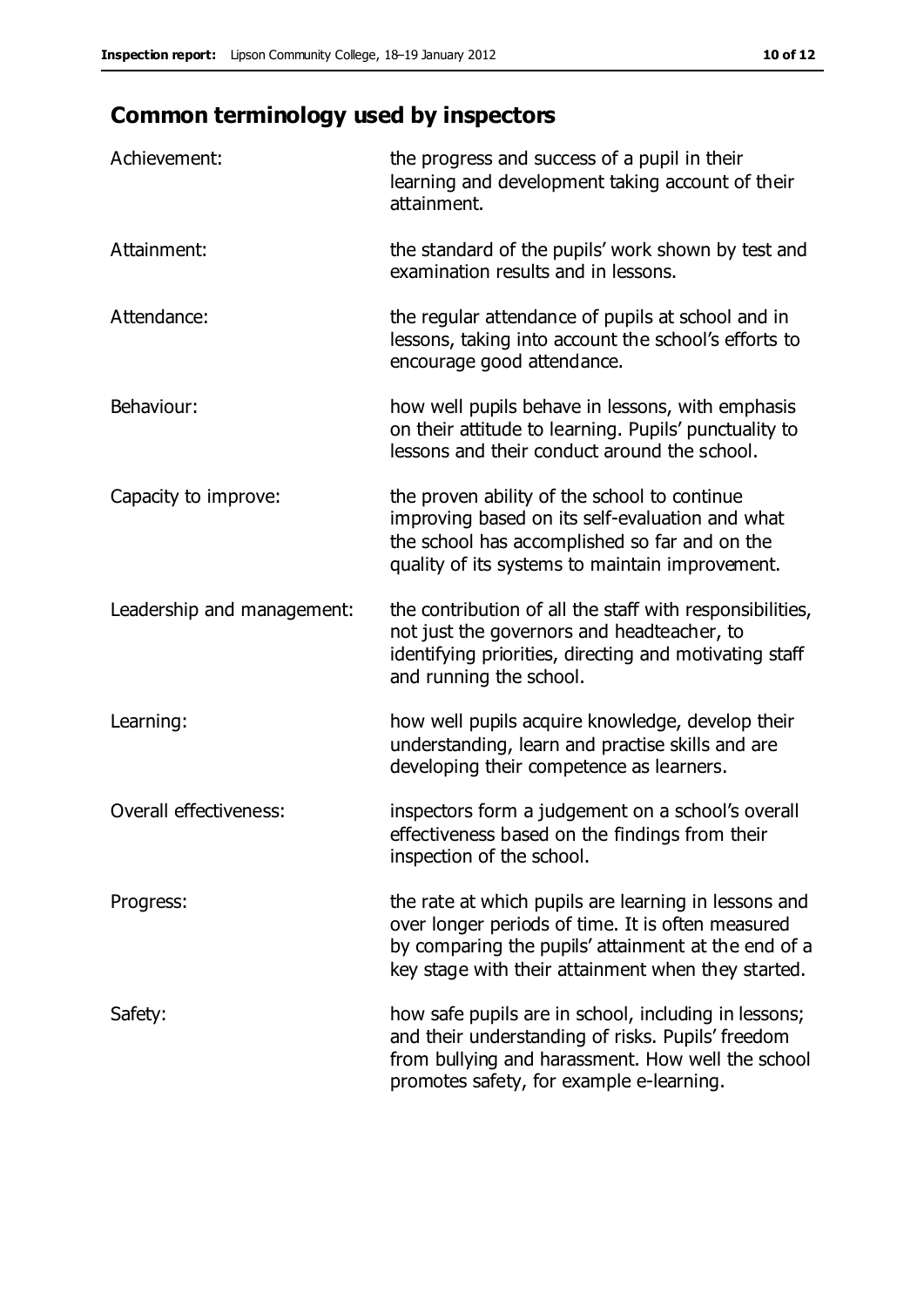# **Common terminology used by inspectors**

| Achievement:                  | the progress and success of a pupil in their<br>learning and development taking account of their<br>attainment.                                                                                                        |
|-------------------------------|------------------------------------------------------------------------------------------------------------------------------------------------------------------------------------------------------------------------|
| Attainment:                   | the standard of the pupils' work shown by test and<br>examination results and in lessons.                                                                                                                              |
| Attendance:                   | the regular attendance of pupils at school and in<br>lessons, taking into account the school's efforts to<br>encourage good attendance.                                                                                |
| Behaviour:                    | how well pupils behave in lessons, with emphasis<br>on their attitude to learning. Pupils' punctuality to<br>lessons and their conduct around the school.                                                              |
| Capacity to improve:          | the proven ability of the school to continue<br>improving based on its self-evaluation and what<br>the school has accomplished so far and on the<br>quality of its systems to maintain improvement.                    |
| Leadership and management:    | the contribution of all the staff with responsibilities,<br>not just the governors and headteacher, to<br>identifying priorities, directing and motivating staff<br>and running the school.                            |
| Learning:                     | how well pupils acquire knowledge, develop their<br>understanding, learn and practise skills and are<br>developing their competence as learners.                                                                       |
| <b>Overall effectiveness:</b> | inspectors form a judgement on a school's overall<br>effectiveness based on the findings from their<br>inspection of the school.                                                                                       |
| Progress:                     | the rate at which pupils are learning in lessons and<br>over longer periods of time. It is often measured<br>by comparing the pupils' attainment at the end of a<br>key stage with their attainment when they started. |
| Safety:                       | how safe pupils are in school, including in lessons;<br>and their understanding of risks. Pupils' freedom<br>from bullying and harassment. How well the school<br>promotes safety, for example e-learning.             |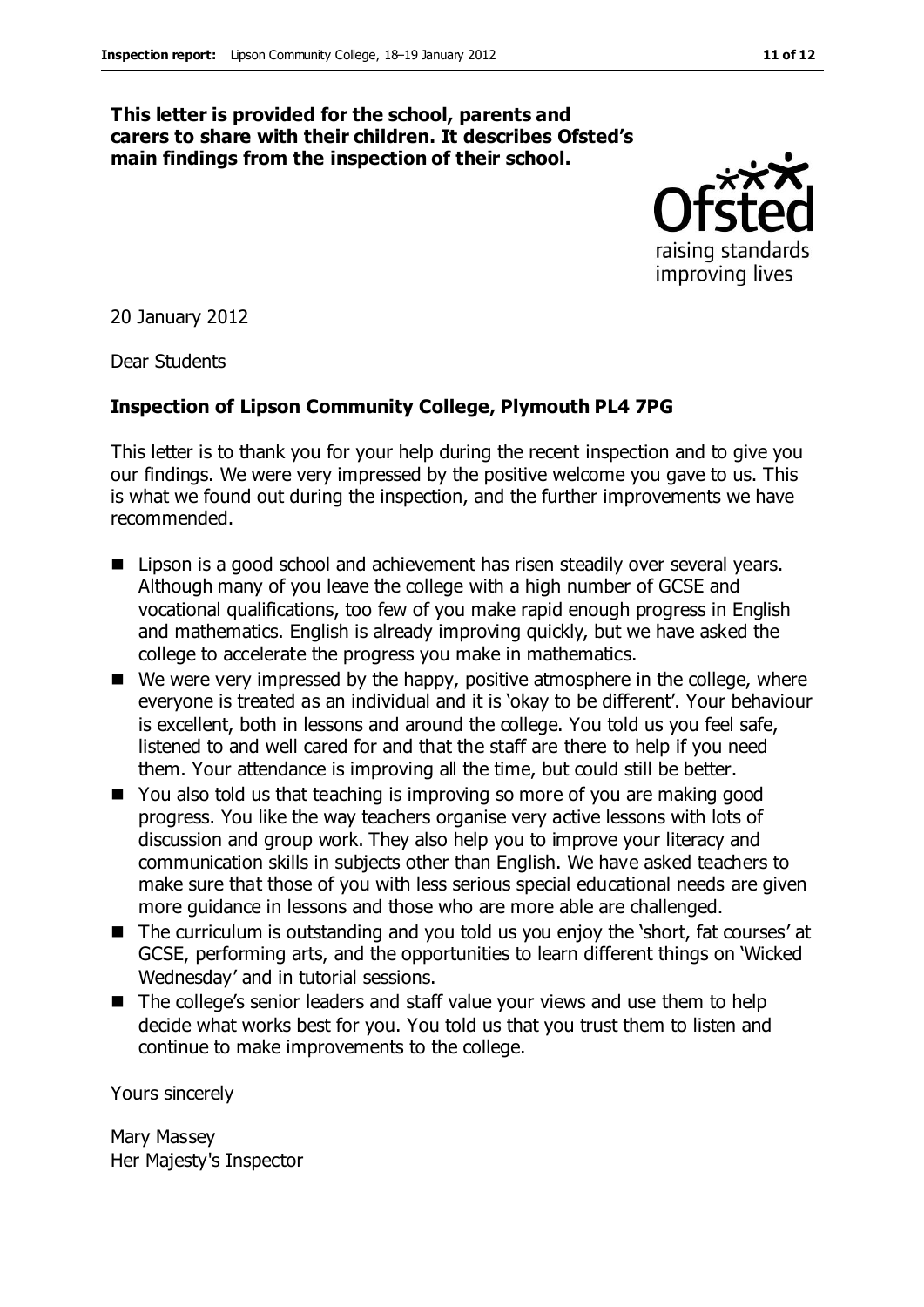#### **This letter is provided for the school, parents and carers to share with their children. It describes Ofsted's main findings from the inspection of their school.**



20 January 2012

Dear Students

#### **Inspection of Lipson Community College, Plymouth PL4 7PG**

This letter is to thank you for your help during the recent inspection and to give you our findings. We were very impressed by the positive welcome you gave to us. This is what we found out during the inspection, and the further improvements we have recommended.

- Lipson is a good school and achievement has risen steadily over several years. Although many of you leave the college with a high number of GCSE and vocational qualifications, too few of you make rapid enough progress in English and mathematics. English is already improving quickly, but we have asked the college to accelerate the progress you make in mathematics.
- We were very impressed by the happy, positive atmosphere in the college, where everyone is treated as an individual and it is 'okay to be different'. Your behaviour is excellent, both in lessons and around the college. You told us you feel safe, listened to and well cared for and that the staff are there to help if you need them. Your attendance is improving all the time, but could still be better.
- You also told us that teaching is improving so more of you are making good progress. You like the way teachers organise very active lessons with lots of discussion and group work. They also help you to improve your literacy and communication skills in subjects other than English. We have asked teachers to make sure that those of you with less serious special educational needs are given more guidance in lessons and those who are more able are challenged.
- The curriculum is outstanding and you told us you enjoy the 'short, fat courses' at GCSE, performing arts, and the opportunities to learn different things on 'Wicked Wednesday' and in tutorial sessions.
- The college's senior leaders and staff value your views and use them to help decide what works best for you. You told us that you trust them to listen and continue to make improvements to the college.

Yours sincerely

Mary Massey Her Majesty's Inspector